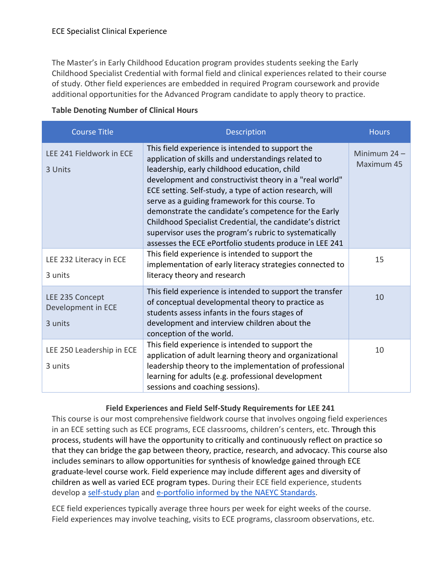The Master's in Early Childhood Education program provides students seeking the Early Childhood Specialist Credential with formal field and clinical experiences related to their course of study. Other field experiences are embedded in required Program coursework and provide additional opportunities for the Advanced Program candidate to apply theory to practice.

| <b>Course Title</b>                              | <b>Description</b>                                                                                                                                                                                                                                                                                                                                                                                                                                                                                                                                                           | <b>Hours</b>                 |
|--------------------------------------------------|------------------------------------------------------------------------------------------------------------------------------------------------------------------------------------------------------------------------------------------------------------------------------------------------------------------------------------------------------------------------------------------------------------------------------------------------------------------------------------------------------------------------------------------------------------------------------|------------------------------|
| LEE 241 Fieldwork in ECE<br>3 Units              | This field experience is intended to support the<br>application of skills and understandings related to<br>leadership, early childhood education, child<br>development and constructivist theory in a "real world"<br>ECE setting. Self-study, a type of action research, will<br>serve as a guiding framework for this course. To<br>demonstrate the candidate's competence for the Early<br>Childhood Specialist Credential, the candidate's district<br>supervisor uses the program's rubric to systematically<br>assesses the ECE ePortfolio students produce in LEE 241 | Minimum $24 -$<br>Maximum 45 |
| LEE 232 Literacy in ECE<br>3 units               | This field experience is intended to support the<br>implementation of early literacy strategies connected to<br>literacy theory and research                                                                                                                                                                                                                                                                                                                                                                                                                                 | 15                           |
| LEE 235 Concept<br>Development in ECE<br>3 units | This field experience is intended to support the transfer<br>of conceptual developmental theory to practice as<br>students assess infants in the fours stages of<br>development and interview children about the<br>conception of the world.                                                                                                                                                                                                                                                                                                                                 | 10                           |
| LEE 250 Leadership in ECE<br>3 units             | This field experience is intended to support the<br>application of adult learning theory and organizational<br>leadership theory to the implementation of professional<br>learning for adults (e.g. professional development<br>sessions and coaching sessions).                                                                                                                                                                                                                                                                                                             | 10                           |

## **Table Denoting Number of Clinical Hours**

## **Field Experiences and Field Self-Study Requirements for LEE 241**

This course is our most comprehensive fieldwork course that involves ongoing field experiences in an ECE setting such as ECE programs, ECE classrooms, children's centers, etc. Through this process, students will have the opportunity to critically and continuously reflect on practice so that they can bridge the gap between theory, practice, research, and advocacy. This course also includes seminars to allow opportunities for synthesis of knowledge gained through ECE graduate-level course work. Field experience may include different ages and diversity of children as well as varied ECE program types. During their ECE field experience, students develop a [self-study plan](https://drive.google.com/file/d/1MfwvSpwM8zQ1YUucX5k7JswI2_cEQd4n/view?usp=sharing) and [e-portfolio informed by the NAEYC Standards.](https://drive.google.com/file/d/1j_n-Iir99PlhT2iG75tPhbgmdu8hS9DL/view?usp=sharing)

ECE field experiences typically average three hours per week for eight weeks of the course. Field experiences may involve teaching, visits to ECE programs, classroom observations, etc.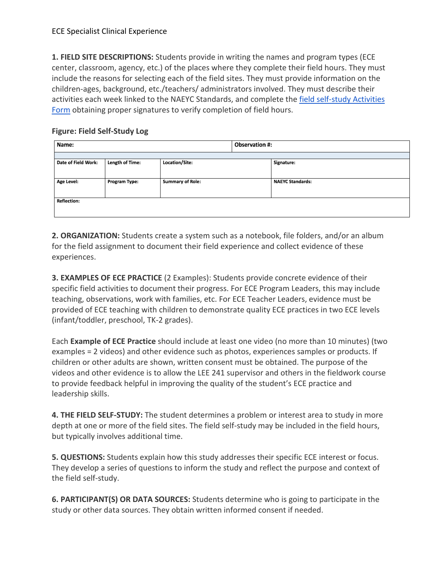**1. FIELD SITE DESCRIPTIONS:** Students provide in writing the names and program types (ECE center, classroom, agency, etc.) of the places where they complete their field hours. They must include the reasons for selecting each of the field sites. They must provide information on the children-ages, background, etc./teachers/ administrators involved. They must describe their activities each week linked to the NAEYC Standards, and complete th[e field self-study](https://drive.google.com/file/d/1r9Fe1hkWLNAGRrWz2lni7Ymcc2VmFAdD/view?usp=sharing) [Activities](https://drive.google.com/file/d/1r9Fe1hkWLNAGRrWz2lni7Ymcc2VmFAdD/view?usp=sharing)  [Form](https://drive.google.com/file/d/1r9Fe1hkWLNAGRrWz2lni7Ymcc2VmFAdD/view?usp=sharing) obtaining proper signatures to verify completion of field hours.

## **Figure: Field Self-Study Log**

| Name:               |                         | <b>Observation #:</b> |                         |  |  |
|---------------------|-------------------------|-----------------------|-------------------------|--|--|
| Date of Field Work: |                         |                       |                         |  |  |
|                     |                         |                       | Signature:              |  |  |
|                     |                         |                       |                         |  |  |
| Program Type:       | <b>Summary of Role:</b> |                       | <b>NAEYC Standards:</b> |  |  |
|                     |                         |                       |                         |  |  |
| <b>Reflection:</b>  |                         |                       |                         |  |  |
|                     |                         |                       |                         |  |  |
|                     | <b>Length of Time:</b>  | Location/Site:        |                         |  |  |

**2. ORGANIZATION:** Students create a system such as a notebook, file folders, and/or an album for the field assignment to document their field experience and collect evidence of these experiences.

**3. EXAMPLES OF ECE PRACTICE** (2 Examples): Students provide concrete evidence of their specific field activities to document their progress. For ECE Program Leaders, this may include teaching, observations, work with families, etc. For ECE Teacher Leaders, evidence must be provided of ECE teaching with children to demonstrate quality ECE practices in two ECE levels (infant/toddler, preschool, TK-2 grades).

Each **Example of ECE Practice** should include at least one video (no more than 10 minutes) (two examples = 2 videos) and other evidence such as photos, experiences samples or products. If children or other adults are shown, written consent must be obtained. The purpose of the videos and other evidence is to allow the LEE 241 supervisor and others in the fieldwork course to provide feedback helpful in improving the quality of the student's ECE practice and leadership skills.

**4. THE FIELD SELF-STUDY:** The student determines a problem or interest area to study in more depth at one or more of the field sites. The field self-study may be included in the field hours, but typically involves additional time.

**5. QUESTIONS:** Students explain how this study addresses their specific ECE interest or focus. They develop a series of questions to inform the study and reflect the purpose and context of the field self-study.

**6. PARTICIPANT(S) OR DATA SOURCES:** Students determine who is going to participate in the study or other data sources. They obtain written informed consent if needed.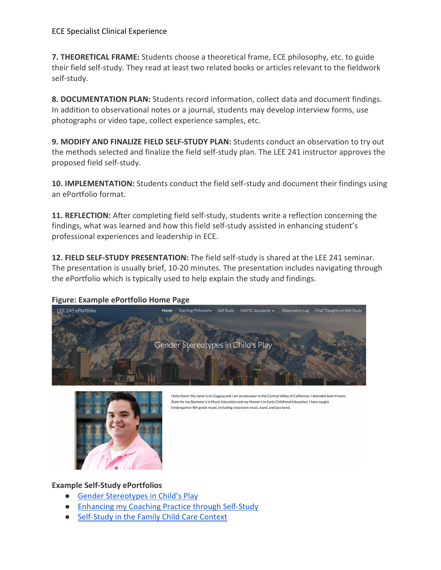**7. THEORETICAL FRAME:** Students choose a theoretical frame, ECE philosophy, etc. to guide their field self-study. They read at least two related books or articles relevant to the fieldwork self-study.

**8. DOCUMENTATION PLAN:** Students record information, collect data and document findings. In addition to observational notes or a journal, students may develop interview forms, use photographs or video tape, collect experience samples, etc.

**9. MODIFY AND FINALIZE FIELD SELF-STUDY PLAN:** Students conduct an observation to try out the methods selected and finalize the field self-study plan. The LEE 241 instructor approves the proposed field self-study.

**10. IMPLEMENTATION:** Students conduct the field self-study and document their findings using an ePortfolio format.

**11. REFLECTION:** After completing field self-study, students write a reflection concerning the findings, what was learned and how this field self-study assisted in enhancing student's professional experiences and leadership in ECE.

**12. FIELD SELF-STUDY PRESENTATION:** The field self-study is shared at the LEE 241 seminar. The presentation is usually brief, 10-20 minutes. The presentation includes navigating through the ePortfolio which is typically used to help explain the study and findings.

## **Figure: Example ePortfolio Home Page**





Hello there! My name is AJ Gagaza and I am an educator in the Central Valley of California! I attended both Fresno State for my Bachelor's in Music Education and my Master's in Early Childhood Education. I have taught kindergarten-8th grade music, including classroom music, band, and jazz band.

**Example Self-Study ePortfolios**

- [Gender Stereotypes in Child's Play](https://sites.google.com/mail.fresnostate.edu/agagaza-lee241-eportfolio/home)
- [Enhancing my Coaching Practice through Self-Study](https://sites.google.com/a/mail.fresnostate.edu/anna-arambula-eportfolio-enhancing-my-coaching-practice/introduction-to-my-self-study)
- [Self-Study in the Family Child Care Context](https://sites.google.com/a/mail.fresnostate.edu/brandl-portfolio/home)